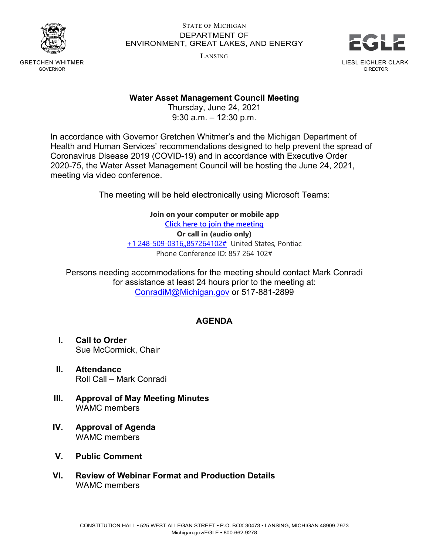

#### STATE OF MICHIGAN DEPARTMENT OF ENVIRONMENT, GREAT LAKES, AND ENERGY

LANSING



GRETCHEN WHITMER GOVERNOR

## **Water Asset Management Council Meeting**

Thursday, June 24, 2021 9:30 a.m. – 12:30 p.m.

In accordance with Governor Gretchen Whitmer's and the Michigan Department of Health and Human Services' recommendations designed to help prevent the spread of Coronavirus Disease 2019 (COVID-19) and in accordance with Executive Order 2020-75, the Water Asset Management Council will be hosting the June 24, 2021, meeting via video conference.

The meeting will be held electronically using Microsoft Teams:

#### **Join on your computer or mobile app**

**[Click here to join the meeting](https://teams.microsoft.com/l/meetup-join/19%3ameeting_Zjk2NTJjYTgtODI5Ni00YTg0LThjZDEtYzM3M2Q2YWVhZGJm%40thread.v2/0?context=%7b%22Tid%22%3a%22d5fb7087-3777-42ad-966a-892ef47225d1%22%2c%22Oid%22%3a%2216f2c2b8-1c1d-41c3-a65e-eb4dcd9b8051%22%7d) Or call in (audio only)** [+1 248-509-0316,,857264102#](tel:+12485090316,,857264102#%20) United States, Pontiac Phone Conference ID: 857 264 102#

Persons needing accommodations for the meeting should contact Mark Conradi for assistance at least 24 hours prior to the meeting at: [ConradiM@Michigan.gov](mailto:ConradiM@Michigan.gov) or 517-881-2899

# **AGENDA**

- **I. Call to Order** Sue McCormick, Chair
- **II. Attendance** Roll Call – Mark Conradi
- **III. Approval of May Meeting Minutes** WAMC members
- **IV. Approval of Agenda** WAMC members
- **V. Public Comment**
- **VI. Review of Webinar Format and Production Details** WAMC members